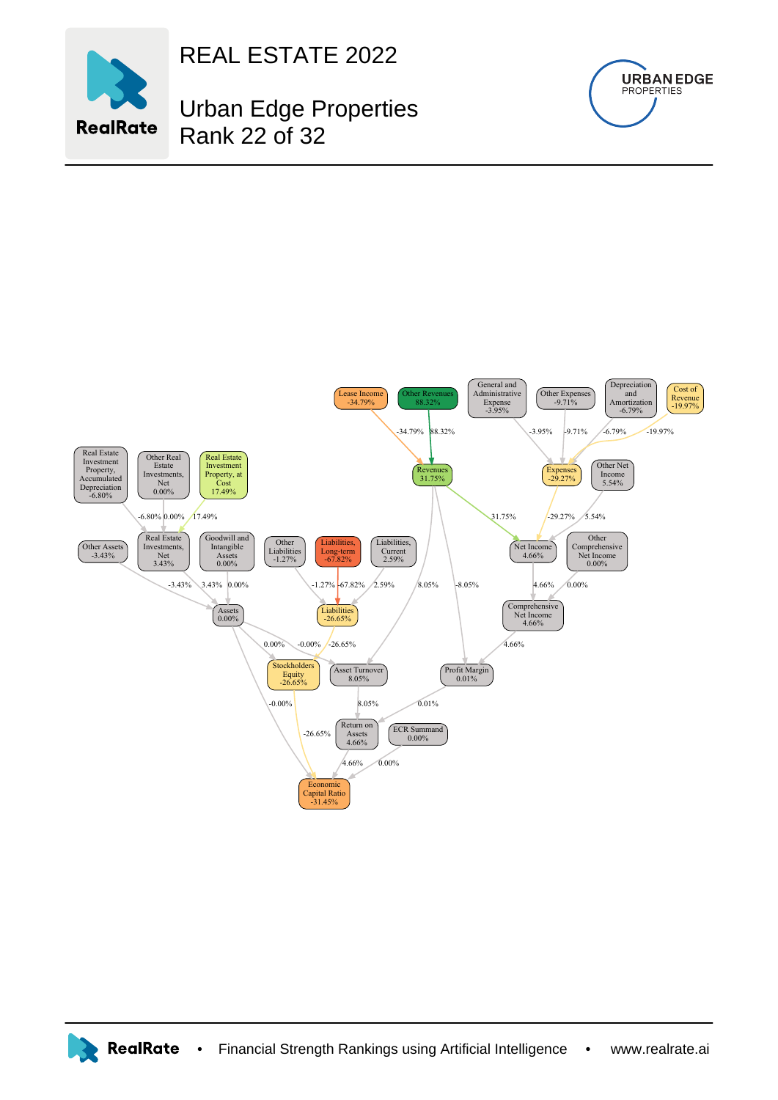

REAL ESTATE 2022

Urban Edge Properties Rank 22 of 32